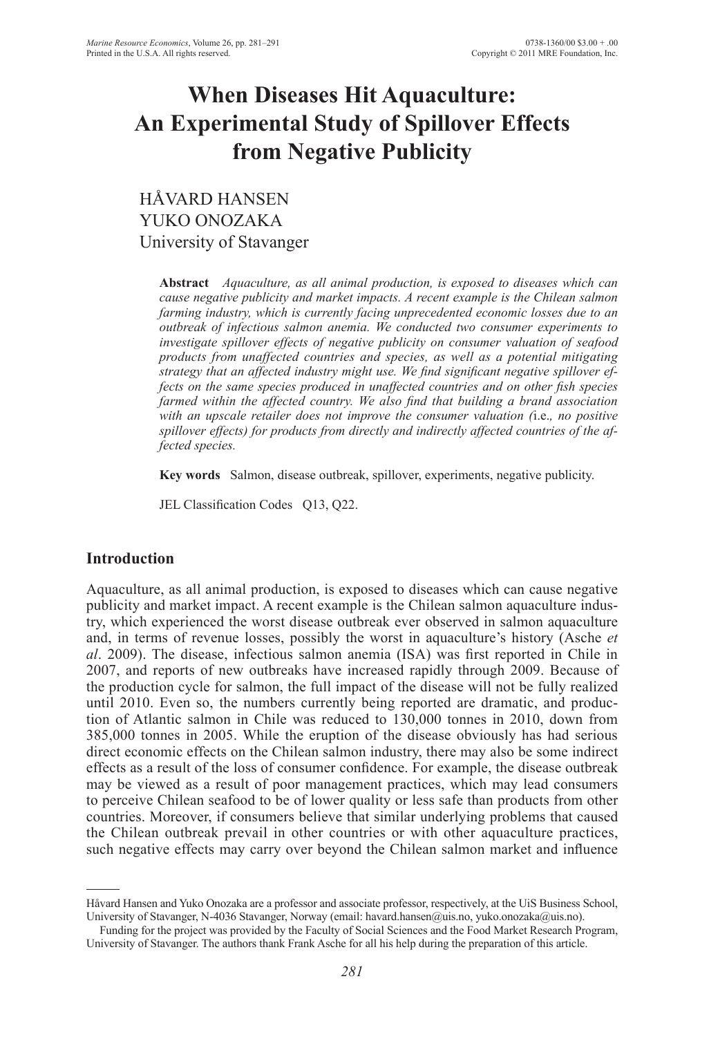# **When Diseases Hit Aquaculture: An Experimental Study of Spillover Effects from Negative Publicity**

Håvard Hansen Yuko Onozaka University of Stavanger

> **Abstract** *Aquaculture, as all animal production, is exposed to diseases which can cause negative publicity and market impacts. A recent example is the Chilean salmon farming industry, which is currently facing unprecedented economic losses due to an outbreak of infectious salmon anemia. We conducted two consumer experiments to investigate spillover effects of negative publicity on consumer valuation of seafood products from unaffected countries and species, as well as a potential mitigating strategy that an affected industry might use. We find significant negative spillover effects on the same species produced in unaffected countries and on other fish species farmed within the affected country. We also find that building a brand association with an upscale retailer does not improve the consumer valuation (*i.e.*, no positive spillover effects) for products from directly and indirectly affected countries of the affected species.*

**Key words** Salmon, disease outbreak, spillover, experiments, negative publicity.

JEL Classification Codes Q13, Q22.

# **Introduction**

Aquaculture, as all animal production, is exposed to diseases which can cause negative publicity and market impact. A recent example is the Chilean salmon aquaculture industry, which experienced the worst disease outbreak ever observed in salmon aquaculture and, in terms of revenue losses, possibly the worst in aquaculture's history (Asche *et al*. 2009). The disease, infectious salmon anemia (ISA) was first reported in Chile in 2007, and reports of new outbreaks have increased rapidly through 2009. Because of the production cycle for salmon, the full impact of the disease will not be fully realized until 2010. Even so, the numbers currently being reported are dramatic, and production of Atlantic salmon in Chile was reduced to 130,000 tonnes in 2010, down from 385,000 tonnes in 2005. While the eruption of the disease obviously has had serious direct economic effects on the Chilean salmon industry, there may also be some indirect effects as a result of the loss of consumer confidence. For example, the disease outbreak may be viewed as a result of poor management practices, which may lead consumers to perceive Chilean seafood to be of lower quality or less safe than products from other countries. Moreover, if consumers believe that similar underlying problems that caused the Chilean outbreak prevail in other countries or with other aquaculture practices, such negative effects may carry over beyond the Chilean salmon market and influence

Håvard Hansen and Yuko Onozaka are a professor and associate professor, respectively, at the UiS Business School, University of Stavanger, N-4036 Stavanger, Norway (email: havard.hansen@uis.no, yuko.onozaka@uis.no).

Funding for the project was provided by the Faculty of Social Sciences and the Food Market Research Program, University of Stavanger. The authors thank Frank Asche for all his help during the preparation of this article.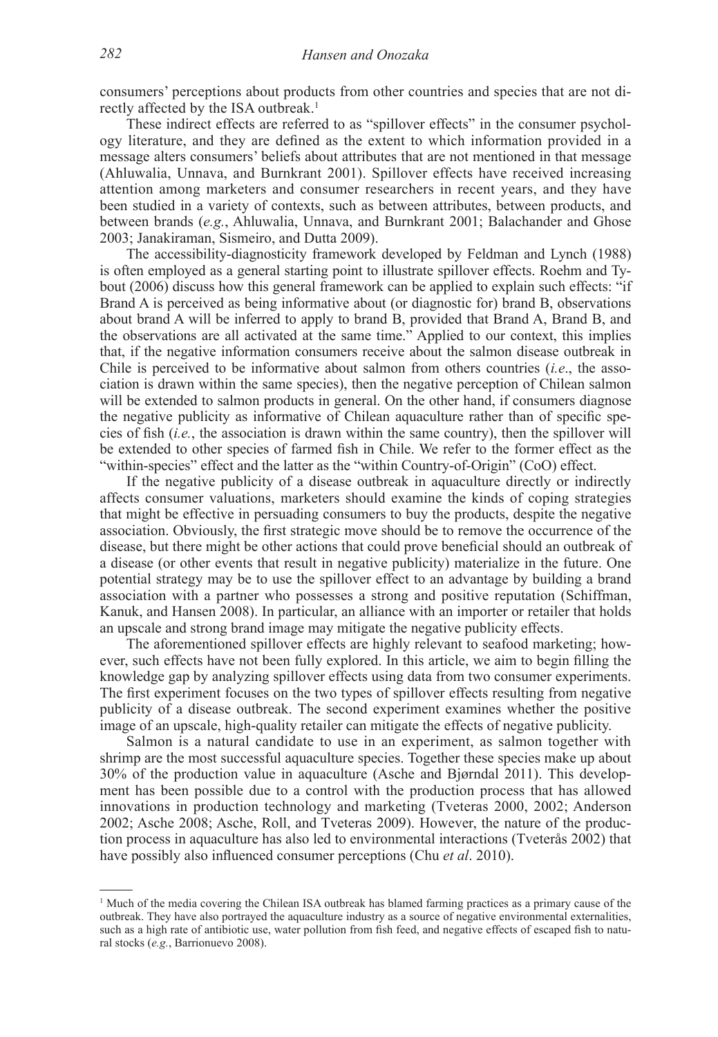consumers' perceptions about products from other countries and species that are not directly affected by the ISA outbreak.<sup>1</sup>

These indirect effects are referred to as "spillover effects" in the consumer psychology literature, and they are defined as the extent to which information provided in a message alters consumers' beliefs about attributes that are not mentioned in that message (Ahluwalia, Unnava, and Burnkrant 2001). Spillover effects have received increasing attention among marketers and consumer researchers in recent years, and they have been studied in a variety of contexts, such as between attributes, between products, and between brands (*e.g.*, Ahluwalia, Unnava, and Burnkrant 2001; Balachander and Ghose 2003; Janakiraman, Sismeiro, and Dutta 2009).

The accessibility-diagnosticity framework developed by Feldman and Lynch (1988) is often employed as a general starting point to illustrate spillover effects. Roehm and Tybout (2006) discuss how this general framework can be applied to explain such effects: "if Brand A is perceived as being informative about (or diagnostic for) brand B, observations about brand A will be inferred to apply to brand B, provided that Brand A, Brand B, and the observations are all activated at the same time." Applied to our context, this implies that, if the negative information consumers receive about the salmon disease outbreak in Chile is perceived to be informative about salmon from others countries (*i.e*., the association is drawn within the same species), then the negative perception of Chilean salmon will be extended to salmon products in general. On the other hand, if consumers diagnose the negative publicity as informative of Chilean aquaculture rather than of specific species of fish (*i.e.*, the association is drawn within the same country), then the spillover will be extended to other species of farmed fish in Chile. We refer to the former effect as the "within-species" effect and the latter as the "within Country-of-Origin" (CoO) effect.

If the negative publicity of a disease outbreak in aquaculture directly or indirectly affects consumer valuations, marketers should examine the kinds of coping strategies that might be effective in persuading consumers to buy the products, despite the negative association. Obviously, the first strategic move should be to remove the occurrence of the disease, but there might be other actions that could prove beneficial should an outbreak of a disease (or other events that result in negative publicity) materialize in the future. One potential strategy may be to use the spillover effect to an advantage by building a brand association with a partner who possesses a strong and positive reputation (Schiffman, Kanuk, and Hansen 2008). In particular, an alliance with an importer or retailer that holds an upscale and strong brand image may mitigate the negative publicity effects.

The aforementioned spillover effects are highly relevant to seafood marketing; however, such effects have not been fully explored. In this article, we aim to begin filling the knowledge gap by analyzing spillover effects using data from two consumer experiments. The first experiment focuses on the two types of spillover effects resulting from negative publicity of a disease outbreak. The second experiment examines whether the positive image of an upscale, high-quality retailer can mitigate the effects of negative publicity.

Salmon is a natural candidate to use in an experiment, as salmon together with shrimp are the most successful aquaculture species. Together these species make up about 30% of the production value in aquaculture (Asche and Bjørndal 2011). This development has been possible due to a control with the production process that has allowed innovations in production technology and marketing (Tveteras 2000, 2002; Anderson 2002; Asche 2008; Asche, Roll, and Tveteras 2009). However, the nature of the production process in aquaculture has also led to environmental interactions (Tveterås 2002) that have possibly also influenced consumer perceptions (Chu *et al*. 2010).

<sup>1</sup> Much of the media covering the Chilean ISA outbreak has blamed farming practices as a primary cause of the outbreak. They have also portrayed the aquaculture industry as a source of negative environmental externalities, such as a high rate of antibiotic use, water pollution from fish feed, and negative effects of escaped fish to natural stocks (*e.g.*, Barrionuevo 2008).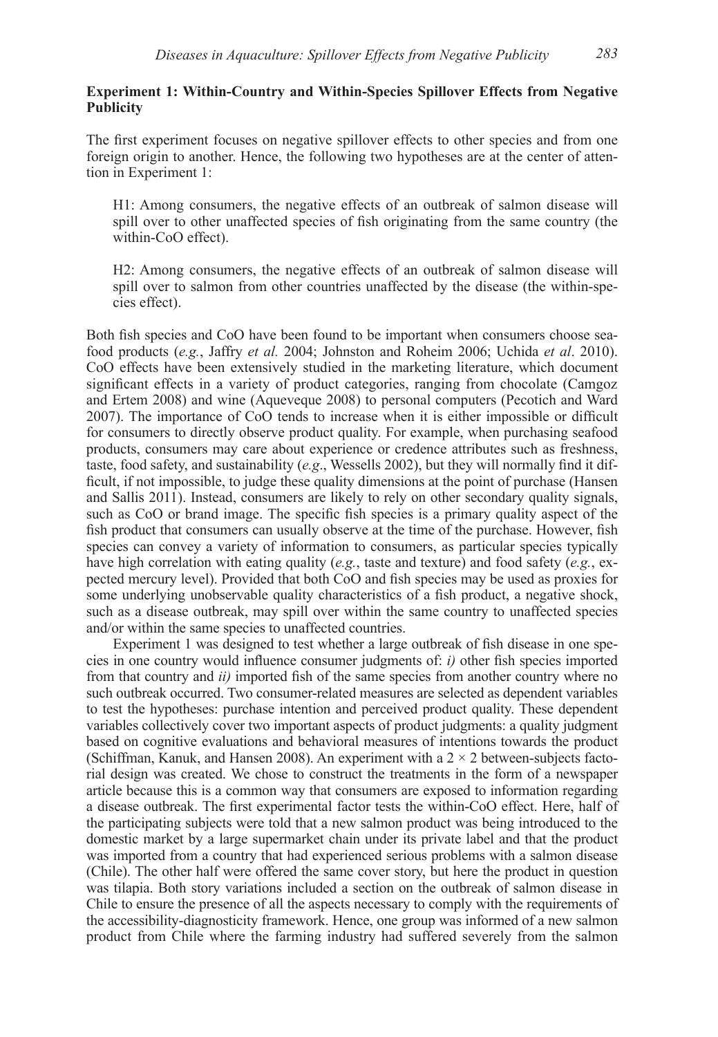#### **Experiment 1: Within-Country and Within-Species Spillover Effects from Negative Publicity**

The first experiment focuses on negative spillover effects to other species and from one foreign origin to another. Hence, the following two hypotheses are at the center of attention in Experiment 1:

H1: Among consumers, the negative effects of an outbreak of salmon disease will spill over to other unaffected species of fish originating from the same country (the within-CoO effect).

H2: Among consumers, the negative effects of an outbreak of salmon disease will spill over to salmon from other countries unaffected by the disease (the within-species effect).

Both fish species and CoO have been found to be important when consumers choose seafood products (*e.g.*, Jaffry *et al.* 2004; Johnston and Roheim 2006; Uchida *et al*. 2010). CoO effects have been extensively studied in the marketing literature, which document significant effects in a variety of product categories, ranging from chocolate (Camgoz and Ertem 2008) and wine (Aqueveque 2008) to personal computers (Pecotich and Ward 2007). The importance of CoO tends to increase when it is either impossible or difficult for consumers to directly observe product quality. For example, when purchasing seafood products, consumers may care about experience or credence attributes such as freshness, taste, food safety, and sustainability (*e.g*., Wessells 2002), but they will normally find it difficult, if not impossible, to judge these quality dimensions at the point of purchase (Hansen and Sallis 2011). Instead, consumers are likely to rely on other secondary quality signals, such as CoO or brand image. The specific fish species is a primary quality aspect of the fish product that consumers can usually observe at the time of the purchase. However, fish species can convey a variety of information to consumers, as particular species typically have high correlation with eating quality (*e.g.*, taste and texture) and food safety (*e.g.*, expected mercury level). Provided that both CoO and fish species may be used as proxies for some underlying unobservable quality characteristics of a fish product, a negative shock, such as a disease outbreak, may spill over within the same country to unaffected species and/or within the same species to unaffected countries.

Experiment 1 was designed to test whether a large outbreak of fish disease in one species in one country would influence consumer judgments of: *i)* other fish species imported from that country and *ii)* imported fish of the same species from another country where no such outbreak occurred. Two consumer-related measures are selected as dependent variables to test the hypotheses: purchase intention and perceived product quality. These dependent variables collectively cover two important aspects of product judgments: a quality judgment based on cognitive evaluations and behavioral measures of intentions towards the product (Schiffman, Kanuk, and Hansen 2008). An experiment with a  $2 \times 2$  between-subjects factorial design was created. We chose to construct the treatments in the form of a newspaper article because this is a common way that consumers are exposed to information regarding a disease outbreak. The first experimental factor tests the within-CoO effect. Here, half of the participating subjects were told that a new salmon product was being introduced to the domestic market by a large supermarket chain under its private label and that the product was imported from a country that had experienced serious problems with a salmon disease (Chile). The other half were offered the same cover story, but here the product in question was tilapia. Both story variations included a section on the outbreak of salmon disease in Chile to ensure the presence of all the aspects necessary to comply with the requirements of the accessibility-diagnosticity framework. Hence, one group was informed of a new salmon product from Chile where the farming industry had suffered severely from the salmon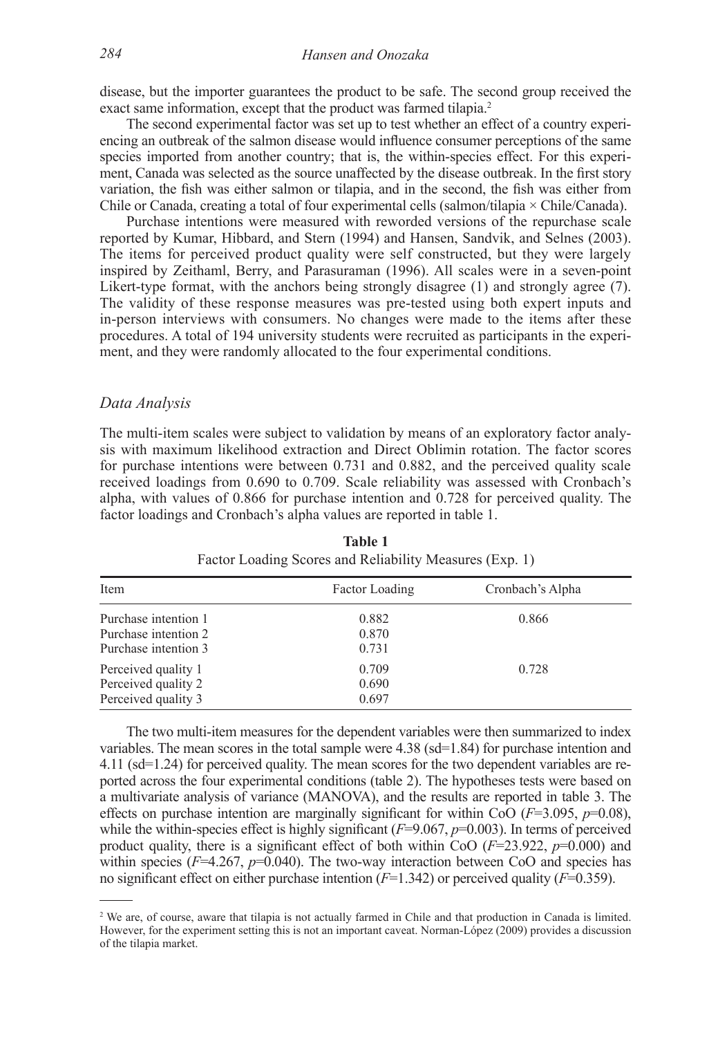disease, but the importer guarantees the product to be safe. The second group received the exact same information, except that the product was farmed tilapia.<sup>2</sup>

The second experimental factor was set up to test whether an effect of a country experiencing an outbreak of the salmon disease would influence consumer perceptions of the same species imported from another country; that is, the within-species effect. For this experiment, Canada was selected as the source unaffected by the disease outbreak. In the first story variation, the fish was either salmon or tilapia, and in the second, the fish was either from Chile or Canada, creating a total of four experimental cells (salmon/tilapia × Chile/Canada).

Purchase intentions were measured with reworded versions of the repurchase scale reported by Kumar, Hibbard, and Stern (1994) and Hansen, Sandvik, and Selnes (2003). The items for perceived product quality were self constructed, but they were largely inspired by Zeithaml, Berry, and Parasuraman (1996). All scales were in a seven-point Likert-type format, with the anchors being strongly disagree (1) and strongly agree (7). The validity of these response measures was pre-tested using both expert inputs and in-person interviews with consumers. No changes were made to the items after these procedures. A total of 194 university students were recruited as participants in the experiment, and they were randomly allocated to the four experimental conditions.

#### *Data Analysis*

The multi-item scales were subject to validation by means of an exploratory factor analysis with maximum likelihood extraction and Direct Oblimin rotation. The factor scores for purchase intentions were between 0.731 and 0.882, and the perceived quality scale received loadings from 0.690 to 0.709. Scale reliability was assessed with Cronbach's alpha, with values of 0.866 for purchase intention and 0.728 for perceived quality. The factor loadings and Cronbach's alpha values are reported in table 1.

| Item                                                                 | Factor Loading          | Cronbach's Alpha |  |
|----------------------------------------------------------------------|-------------------------|------------------|--|
| Purchase intention 1<br>Purchase intention 2<br>Purchase intention 3 | 0.882<br>0.870<br>0.731 | 0.866            |  |
| Perceived quality 1<br>Perceived quality 2<br>Perceived quality 3    | 0.709<br>0.690<br>0.697 | 0.728            |  |

**Table 1** Factor Loading Scores and Reliability Measures (Exp. 1)

The two multi-item measures for the dependent variables were then summarized to index variables. The mean scores in the total sample were  $4.38$  (sd=1.84) for purchase intention and 4.11 (sd=1.24) for perceived quality. The mean scores for the two dependent variables are reported across the four experimental conditions (table 2). The hypotheses tests were based on a multivariate analysis of variance (MANOVA), and the results are reported in table 3. The effects on purchase intention are marginally significant for within CoO (*F*=3.095, *p*=0.08), while the within-species effect is highly significant  $(F=9.067, p=0.003)$ . In terms of perceived product quality, there is a significant effect of both within CoO  $(F=23.922, p=0.000)$  and within species  $(F=4.267, p=0.040)$ . The two-way interaction between CoO and species has no significant effect on either purchase intention (*F*=1.342) or perceived quality (*F*=0.359).

<sup>&</sup>lt;sup>2</sup> We are, of course, aware that tilapia is not actually farmed in Chile and that production in Canada is limited. However, for the experiment setting this is not an important caveat. Norman-López (2009) provides a discussion of the tilapia market.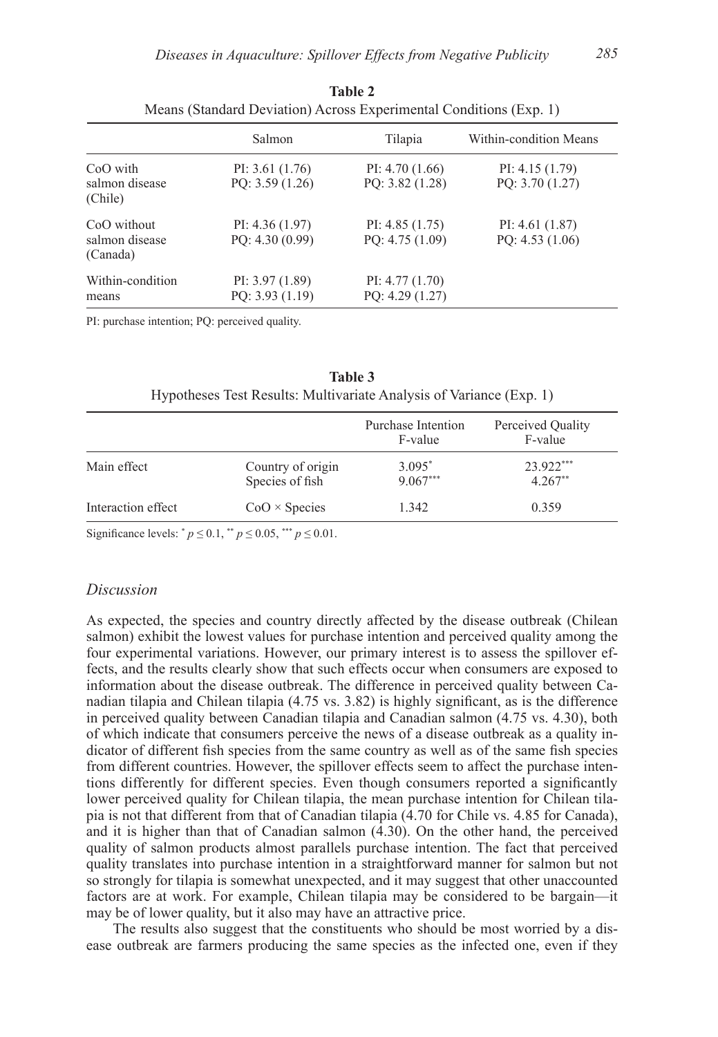|                                           | Salmon                               | Tilapia                              | Within-condition Means             |
|-------------------------------------------|--------------------------------------|--------------------------------------|------------------------------------|
| CoO with<br>salmon disease<br>(Chile)     | PI: $3.61(1.76)$<br>PQ: $3.59(1.26)$ | PI: $4.70(1.66)$<br>PQ: 3.82(1.28)   | PI: 4.15(1.79)<br>PQ: 3.70 (1.27)  |
| CoO without<br>salmon disease<br>(Canada) | PI: $4.36(1.97)$<br>PO: $4.30(0.99)$ | PI: $4.85(1.75)$<br>PQ: $4.75(1.09)$ | PI: $4.61(1.87)$<br>PO: 4.53(1.06) |
| Within-condition<br>means                 | PI: $3.97(1.89)$<br>PQ: $3.93(1.19)$ | PI: 4.77(1.70)<br>PO: 4.29(1.27)     |                                    |

**Table 2** Means (Standard Deviation) Across Experimental Conditions (Exp. 1)

PI: purchase intention; PQ: perceived quality.

|                    |                                      | Purchase Intention<br>F-value | Perceived Quality<br>F-value |
|--------------------|--------------------------------------|-------------------------------|------------------------------|
| Main effect        | Country of origin<br>Species of fish | $3.095*$<br>$9.067***$        | 23.922***<br>$4.267**$       |
| Interaction effect | $CoO \times Species$                 | 1.342                         | 0.359                        |

**Table 3** Hypotheses Test Results: Multivariate Analysis of Variance (Exp. 1)

Significance levels:  $^* p \le 0.1$ ,  $^{**} p \le 0.05$ ,  $^{***} p \le 0.01$ .

#### *Discussion*

As expected, the species and country directly affected by the disease outbreak (Chilean salmon) exhibit the lowest values for purchase intention and perceived quality among the four experimental variations. However, our primary interest is to assess the spillover effects, and the results clearly show that such effects occur when consumers are exposed to information about the disease outbreak. The difference in perceived quality between Canadian tilapia and Chilean tilapia (4.75 vs. 3.82) is highly significant, as is the difference in perceived quality between Canadian tilapia and Canadian salmon (4.75 vs. 4.30), both of which indicate that consumers perceive the news of a disease outbreak as a quality indicator of different fish species from the same country as well as of the same fish species from different countries. However, the spillover effects seem to affect the purchase intentions differently for different species. Even though consumers reported a significantly lower perceived quality for Chilean tilapia, the mean purchase intention for Chilean tilapia is not that different from that of Canadian tilapia (4.70 for Chile vs. 4.85 for Canada), and it is higher than that of Canadian salmon (4.30). On the other hand, the perceived quality of salmon products almost parallels purchase intention. The fact that perceived quality translates into purchase intention in a straightforward manner for salmon but not so strongly for tilapia is somewhat unexpected, and it may suggest that other unaccounted factors are at work. For example, Chilean tilapia may be considered to be bargain—it may be of lower quality, but it also may have an attractive price.

The results also suggest that the constituents who should be most worried by a disease outbreak are farmers producing the same species as the infected one, even if they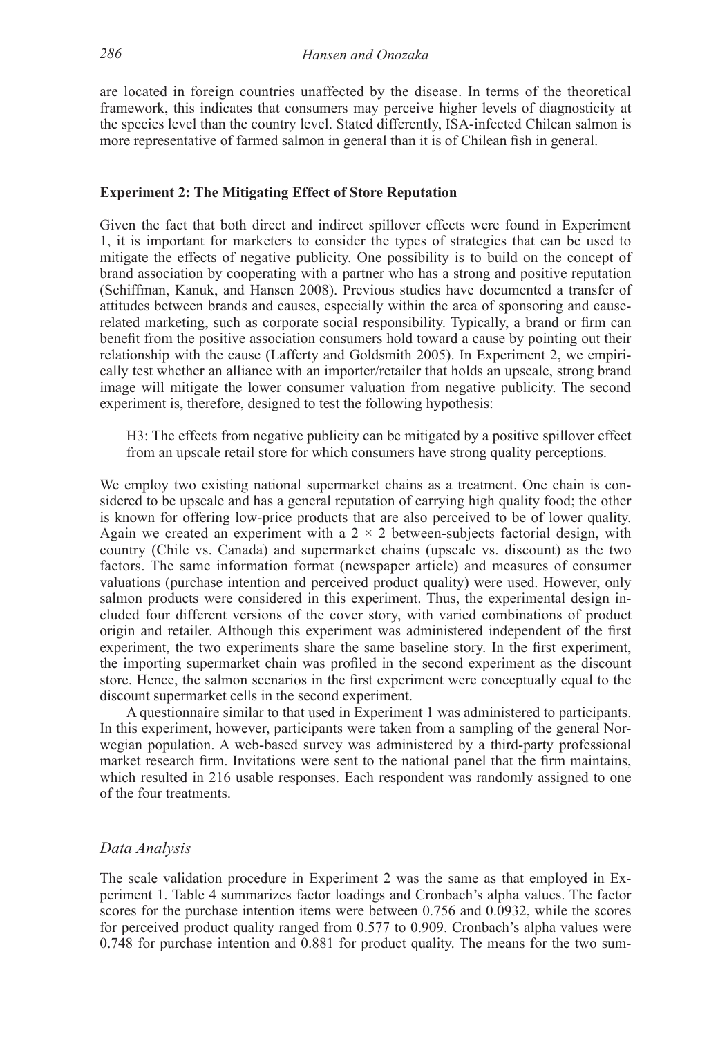are located in foreign countries unaffected by the disease. In terms of the theoretical framework, this indicates that consumers may perceive higher levels of diagnosticity at the species level than the country level. Stated differently, ISA-infected Chilean salmon is more representative of farmed salmon in general than it is of Chilean fish in general.

#### **Experiment 2: The Mitigating Effect of Store Reputation**

Given the fact that both direct and indirect spillover effects were found in Experiment 1, it is important for marketers to consider the types of strategies that can be used to mitigate the effects of negative publicity. One possibility is to build on the concept of brand association by cooperating with a partner who has a strong and positive reputation (Schiffman, Kanuk, and Hansen 2008). Previous studies have documented a transfer of attitudes between brands and causes, especially within the area of sponsoring and causerelated marketing, such as corporate social responsibility. Typically, a brand or firm can benefit from the positive association consumers hold toward a cause by pointing out their relationship with the cause (Lafferty and Goldsmith 2005). In Experiment 2, we empirically test whether an alliance with an importer/retailer that holds an upscale, strong brand image will mitigate the lower consumer valuation from negative publicity. The second experiment is, therefore, designed to test the following hypothesis:

H3: The effects from negative publicity can be mitigated by a positive spillover effect from an upscale retail store for which consumers have strong quality perceptions.

We employ two existing national supermarket chains as a treatment. One chain is considered to be upscale and has a general reputation of carrying high quality food; the other is known for offering low-price products that are also perceived to be of lower quality. Again we created an experiment with a  $2 \times 2$  between-subjects factorial design, with country (Chile vs. Canada) and supermarket chains (upscale vs. discount) as the two factors. The same information format (newspaper article) and measures of consumer valuations (purchase intention and perceived product quality) were used. However, only salmon products were considered in this experiment. Thus, the experimental design included four different versions of the cover story, with varied combinations of product origin and retailer. Although this experiment was administered independent of the first experiment, the two experiments share the same baseline story. In the first experiment, the importing supermarket chain was profiled in the second experiment as the discount store. Hence, the salmon scenarios in the first experiment were conceptually equal to the discount supermarket cells in the second experiment.

A questionnaire similar to that used in Experiment 1 was administered to participants. In this experiment, however, participants were taken from a sampling of the general Norwegian population. A web-based survey was administered by a third-party professional market research firm. Invitations were sent to the national panel that the firm maintains, which resulted in 216 usable responses. Each respondent was randomly assigned to one of the four treatments.

#### *Data Analysis*

The scale validation procedure in Experiment 2 was the same as that employed in Experiment 1. Table 4 summarizes factor loadings and Cronbach's alpha values. The factor scores for the purchase intention items were between 0.756 and 0.0932, while the scores for perceived product quality ranged from 0.577 to 0.909. Cronbach's alpha values were 0.748 for purchase intention and 0.881 for product quality. The means for the two sum-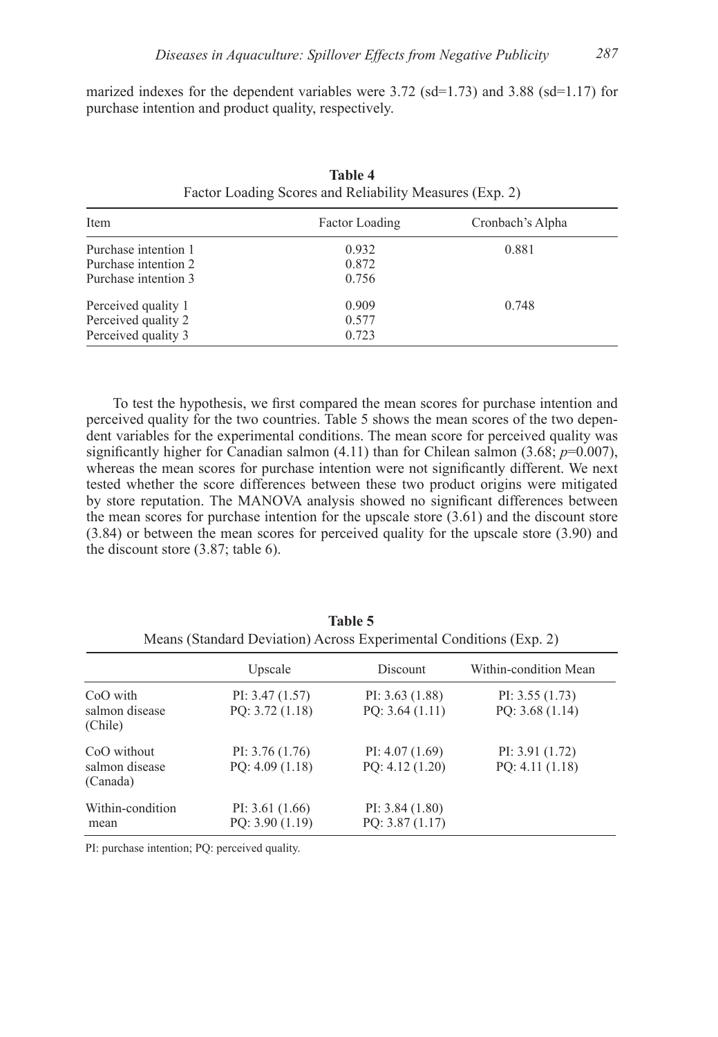marized indexes for the dependent variables were  $3.72$  (sd=1.73) and  $3.88$  (sd=1.17) for purchase intention and product quality, respectively.

| Item                 | Factor Loading | Cronbach's Alpha |
|----------------------|----------------|------------------|
| Purchase intention 1 | 0.932          | 0.881            |
| Purchase intention 2 | 0.872          |                  |
| Purchase intention 3 | 0.756          |                  |
| Perceived quality 1  | 0.909          | 0.748            |
| Perceived quality 2  | 0.577          |                  |
| Perceived quality 3  | 0.723          |                  |

**Table 4** Factor Loading Scores and Reliability Measures (Exp. 2)

To test the hypothesis, we first compared the mean scores for purchase intention and perceived quality for the two countries. Table 5 shows the mean scores of the two dependent variables for the experimental conditions. The mean score for perceived quality was significantly higher for Canadian salmon  $(4.11)$  than for Chilean salmon  $(3.68; p=0.007)$ , whereas the mean scores for purchase intention were not significantly different. We next tested whether the score differences between these two product origins were mitigated by store reputation. The MANOVA analysis showed no significant differences between the mean scores for purchase intention for the upscale store  $(3.61)$  and the discount store (3.84) or between the mean scores for perceived quality for the upscale store (3.90) and the discount store (3.87; table 6).

|                                           | Upscale                            | Discount                           | Within-condition Mean                |
|-------------------------------------------|------------------------------------|------------------------------------|--------------------------------------|
| CoO with<br>salmon disease<br>(Chile)     | PI: 3.47(1.57)<br>PQ: 3.72(1.18)   | PI: $3.63(1.88)$<br>PQ: 3.64(1.11) | PI: $3.55(1.73)$<br>PQ: $3.68(1.14)$ |
| CoO without<br>salmon disease<br>(Canada) | PI: $3.76(1.76)$<br>PO: 4.09(1.18) | PI: $4.07(1.69)$<br>PQ: 4.12(1.20) | PI: 3.91 (1.72)<br>PQ: $4.11(1.18)$  |
| Within-condition<br>mean                  | PI: $3.61(1.66)$<br>PQ: 3.90(1.19) | PI: $3.84(1.80)$<br>PQ: 3.87(1.17) |                                      |

**Table 5** Means (Standard Deviation) Across Experimental Conditions (Exp. 2)

PI: purchase intention; PQ: perceived quality.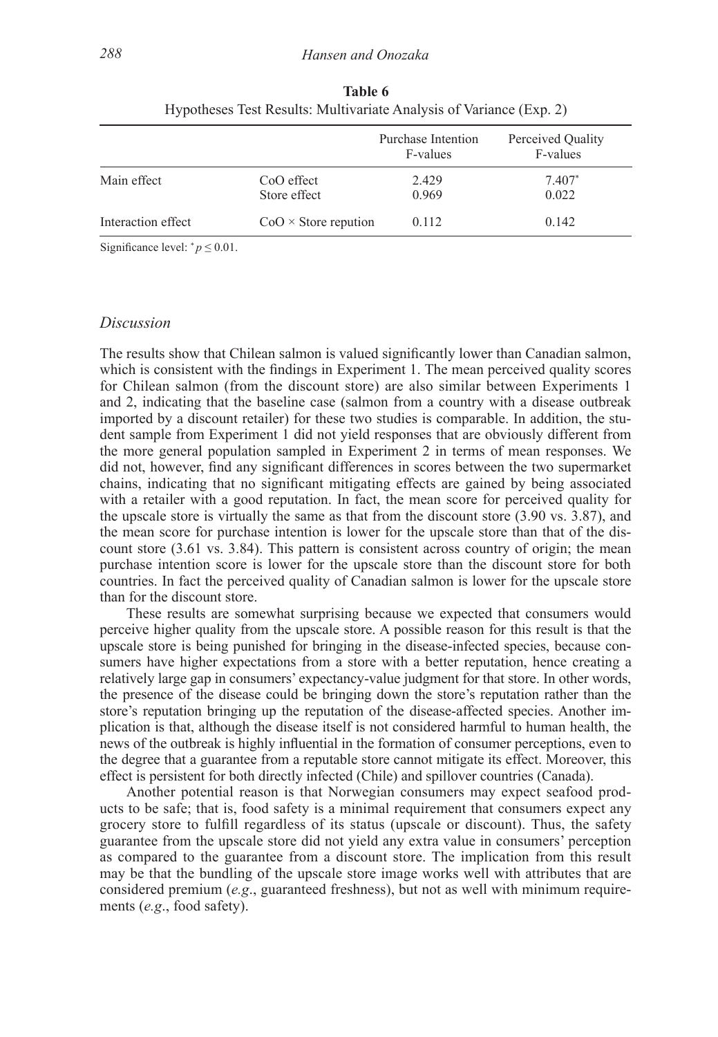|                    |                             | Purchase Intention<br>F-values | Perceived Quality<br>F-values |
|--------------------|-----------------------------|--------------------------------|-------------------------------|
| Main effect        | CoO effect<br>Store effect  | 2.429<br>0.969                 | $7.407*$<br>0.022             |
| Interaction effect | $CoO \times$ Store repution | 0.112                          | 0.142                         |

**Table 6** Hypotheses Test Results: Multivariate Analysis of Variance (Exp. 2)

Significance level:  $p \leq 0.01$ .

#### *Discussion*

The results show that Chilean salmon is valued significantly lower than Canadian salmon, which is consistent with the findings in Experiment 1. The mean perceived quality scores for Chilean salmon (from the discount store) are also similar between Experiments 1 and 2, indicating that the baseline case (salmon from a country with a disease outbreak imported by a discount retailer) for these two studies is comparable. In addition, the student sample from Experiment 1 did not yield responses that are obviously different from the more general population sampled in Experiment 2 in terms of mean responses. We did not, however, find any significant differences in scores between the two supermarket chains, indicating that no significant mitigating effects are gained by being associated with a retailer with a good reputation. In fact, the mean score for perceived quality for the upscale store is virtually the same as that from the discount store (3.90 vs. 3.87), and the mean score for purchase intention is lower for the upscale store than that of the discount store (3.61 vs. 3.84). This pattern is consistent across country of origin; the mean purchase intention score is lower for the upscale store than the discount store for both countries. In fact the perceived quality of Canadian salmon is lower for the upscale store than for the discount store.

These results are somewhat surprising because we expected that consumers would perceive higher quality from the upscale store. A possible reason for this result is that the upscale store is being punished for bringing in the disease-infected species, because consumers have higher expectations from a store with a better reputation, hence creating a relatively large gap in consumers' expectancy-value judgment for that store. In other words, the presence of the disease could be bringing down the store's reputation rather than the store's reputation bringing up the reputation of the disease-affected species. Another implication is that, although the disease itself is not considered harmful to human health, the news of the outbreak is highly influential in the formation of consumer perceptions, even to the degree that a guarantee from a reputable store cannot mitigate its effect. Moreover, this effect is persistent for both directly infected (Chile) and spillover countries (Canada).

Another potential reason is that Norwegian consumers may expect seafood products to be safe; that is, food safety is a minimal requirement that consumers expect any grocery store to fulfill regardless of its status (upscale or discount). Thus, the safety guarantee from the upscale store did not yield any extra value in consumers' perception as compared to the guarantee from a discount store. The implication from this result may be that the bundling of the upscale store image works well with attributes that are considered premium (*e.g*., guaranteed freshness), but not as well with minimum requirements (*e.g*., food safety).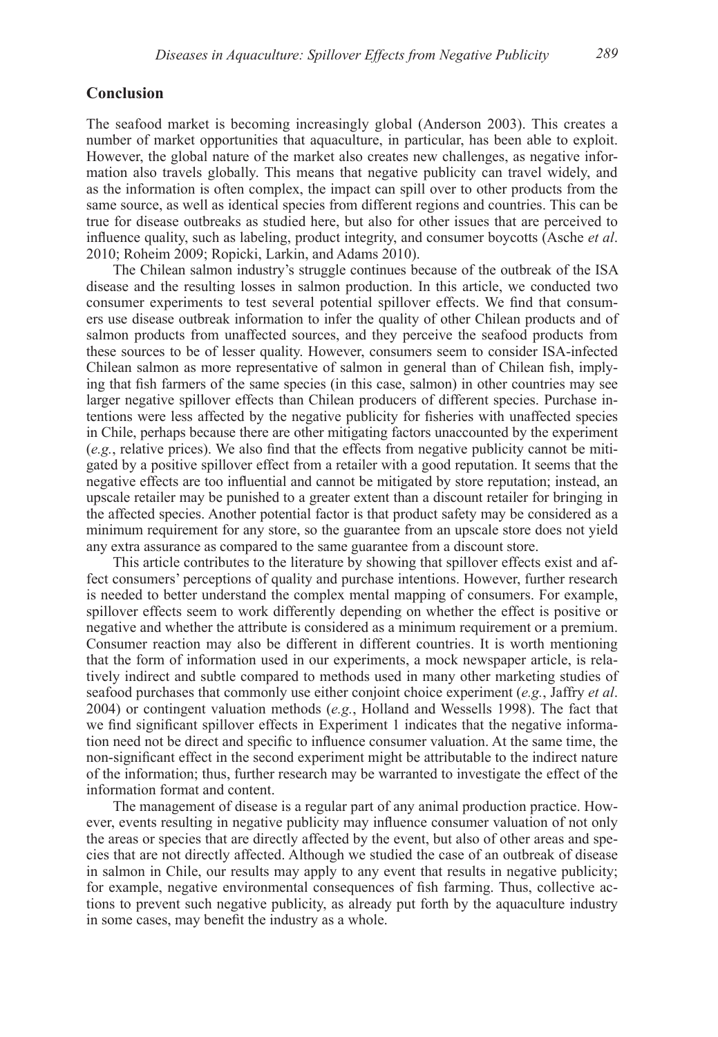## **Conclusion**

The seafood market is becoming increasingly global (Anderson 2003). This creates a number of market opportunities that aquaculture, in particular, has been able to exploit. However, the global nature of the market also creates new challenges, as negative information also travels globally. This means that negative publicity can travel widely, and as the information is often complex, the impact can spill over to other products from the same source, as well as identical species from different regions and countries. This can be true for disease outbreaks as studied here, but also for other issues that are perceived to influence quality, such as labeling, product integrity, and consumer boycotts (Asche *et al*. 2010; Roheim 2009; Ropicki, Larkin, and Adams 2010).

The Chilean salmon industry's struggle continues because of the outbreak of the ISA disease and the resulting losses in salmon production. In this article, we conducted two consumer experiments to test several potential spillover effects. We find that consumers use disease outbreak information to infer the quality of other Chilean products and of salmon products from unaffected sources, and they perceive the seafood products from these sources to be of lesser quality. However, consumers seem to consider ISA-infected Chilean salmon as more representative of salmon in general than of Chilean fish, implying that fish farmers of the same species (in this case, salmon) in other countries may see larger negative spillover effects than Chilean producers of different species. Purchase intentions were less affected by the negative publicity for fisheries with unaffected species in Chile, perhaps because there are other mitigating factors unaccounted by the experiment (*e.g.*, relative prices). We also find that the effects from negative publicity cannot be mitigated by a positive spillover effect from a retailer with a good reputation. It seems that the negative effects are too influential and cannot be mitigated by store reputation; instead, an upscale retailer may be punished to a greater extent than a discount retailer for bringing in the affected species. Another potential factor is that product safety may be considered as a minimum requirement for any store, so the guarantee from an upscale store does not yield any extra assurance as compared to the same guarantee from a discount store.

This article contributes to the literature by showing that spillover effects exist and affect consumers' perceptions of quality and purchase intentions. However, further research is needed to better understand the complex mental mapping of consumers. For example, spillover effects seem to work differently depending on whether the effect is positive or negative and whether the attribute is considered as a minimum requirement or a premium. Consumer reaction may also be different in different countries. It is worth mentioning that the form of information used in our experiments, a mock newspaper article, is relatively indirect and subtle compared to methods used in many other marketing studies of seafood purchases that commonly use either conjoint choice experiment (*e.g.*, Jaffry *et al*. 2004) or contingent valuation methods (*e.g.*, Holland and Wessells 1998). The fact that we find significant spillover effects in Experiment 1 indicates that the negative information need not be direct and specific to influence consumer valuation. At the same time, the non-significant effect in the second experiment might be attributable to the indirect nature of the information; thus, further research may be warranted to investigate the effect of the information format and content.

The management of disease is a regular part of any animal production practice. However, events resulting in negative publicity may influence consumer valuation of not only the areas or species that are directly affected by the event, but also of other areas and species that are not directly affected. Although we studied the case of an outbreak of disease in salmon in Chile, our results may apply to any event that results in negative publicity; for example, negative environmental consequences of fish farming. Thus, collective actions to prevent such negative publicity, as already put forth by the aquaculture industry in some cases, may benefit the industry as a whole.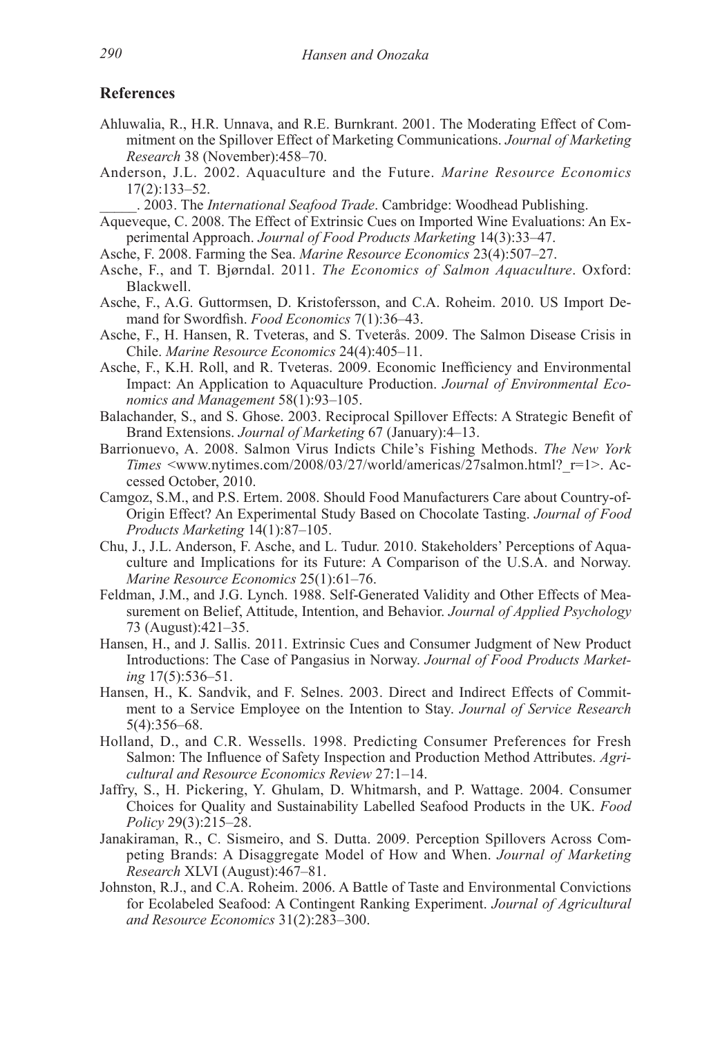## **References**

- Ahluwalia, R., H.R. Unnava, and R.E. Burnkrant. 2001. The Moderating Effect of Commitment on the Spillover Effect of Marketing Communications. *Journal of Marketing Research* 38 (November):458–70.
- Anderson, J.L. 2002. Aquaculture and the Future. *Marine Resource Economics* 17(2):133–52.

\_\_\_\_\_. 2003. The *International Seafood Trade*. Cambridge: Woodhead Publishing.

- Aqueveque, C. 2008. The Effect of Extrinsic Cues on Imported Wine Evaluations: An Experimental Approach. *Journal of Food Products Marketing* 14(3):33–47.
- Asche, F. 2008. Farming the Sea. *Marine Resource Economics* 23(4):507–27.
- Asche, F., and T. Bjørndal. 2011. *The Economics of Salmon Aquaculture*. Oxford: Blackwell.
- Asche, F., A.G. Guttormsen, D. Kristofersson, and C.A. Roheim. 2010. US Import Demand for Swordfish. *Food Economics* 7(1):36–43.
- Asche, F., H. Hansen, R. Tveteras, and S. Tveterås. 2009. The Salmon Disease Crisis in Chile. *Marine Resource Economics* 24(4):405–11.
- Asche, F., K.H. Roll, and R. Tveteras. 2009. Economic Inefficiency and Environmental Impact: An Application to Aquaculture Production. *Journal of Environmental Economics and Management* 58(1):93–105.
- Balachander, S., and S. Ghose. 2003. Reciprocal Spillover Effects: A Strategic Benefit of Brand Extensions. *Journal of Marketing* 67 (January):4–13.
- Barrionuevo, A. 2008. Salmon Virus Indicts Chile's Fishing Methods. *The New York Times* <www.nytimes.com/2008/03/27/world/americas/27salmon.html? r=1>. Accessed October, 2010.
- Camgoz, S.M., and P.S. Ertem. 2008. Should Food Manufacturers Care about Country-of-Origin Effect? An Experimental Study Based on Chocolate Tasting. *Journal of Food Products Marketing* 14(1):87–105.
- Chu, J., J.L. Anderson, F. Asche, and L. Tudur. 2010. Stakeholders' Perceptions of Aquaculture and Implications for its Future: A Comparison of the U.S.A. and Norway. *Marine Resource Economics* 25(1):61–76.
- Feldman, J.M., and J.G. Lynch. 1988. Self-Generated Validity and Other Effects of Measurement on Belief, Attitude, Intention, and Behavior. *Journal of Applied Psychology* 73 (August):421–35.
- Hansen, H., and J. Sallis. 2011. Extrinsic Cues and Consumer Judgment of New Product Introductions: The Case of Pangasius in Norway. *Journal of Food Products Marketing* 17(5):536–51.
- Hansen, H., K. Sandvik, and F. Selnes. 2003. Direct and Indirect Effects of Commitment to a Service Employee on the Intention to Stay. *Journal of Service Research* 5(4):356–68.
- Holland, D., and C.R. Wessells. 1998. Predicting Consumer Preferences for Fresh Salmon: The Influence of Safety Inspection and Production Method Attributes. *Agricultural and Resource Economics Review* 27:1–14.
- Jaffry, S., H. Pickering, Y. Ghulam, D. Whitmarsh, and P. Wattage. 2004. Consumer Choices for Quality and Sustainability Labelled Seafood Products in the UK. *Food Policy* 29(3):215–28.
- Janakiraman, R., C. Sismeiro, and S. Dutta. 2009. Perception Spillovers Across Competing Brands: A Disaggregate Model of How and When. *Journal of Marketing Research* XLVI (August):467–81.
- Johnston, R.J., and C.A. Roheim. 2006. A Battle of Taste and Environmental Convictions for Ecolabeled Seafood: A Contingent Ranking Experiment. *Journal of Agricultural and Resource Economics* 31(2):283–300.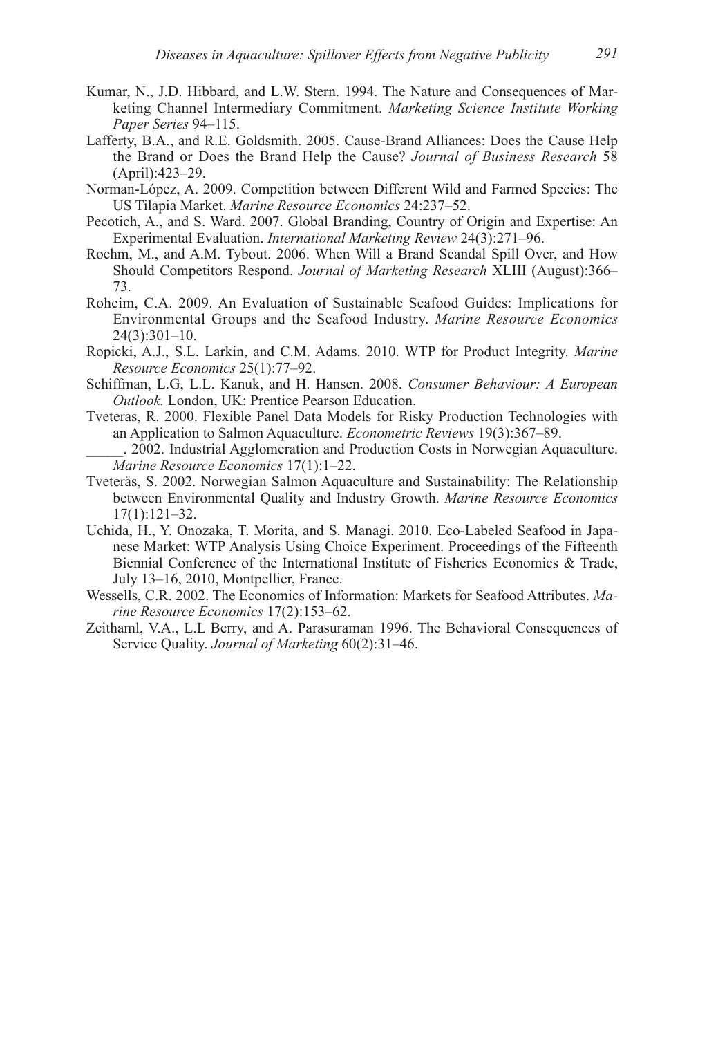- Kumar, N., J.D. Hibbard, and L.W. Stern. 1994. The Nature and Consequences of Marketing Channel Intermediary Commitment. *Marketing Science Institute Working Paper Series* 94–115.
- Lafferty, B.A., and R.E. Goldsmith. 2005. Cause-Brand Alliances: Does the Cause Help the Brand or Does the Brand Help the Cause? *Journal of Business Research* 58 (April):423–29.
- Norman-López, A. 2009. Competition between Different Wild and Farmed Species: The US Tilapia Market. *Marine Resource Economics* 24:237–52.
- Pecotich, A., and S. Ward. 2007. Global Branding, Country of Origin and Expertise: An Experimental Evaluation. *International Marketing Review* 24(3):271–96.
- Roehm, M., and A.M. Tybout. 2006. When Will a Brand Scandal Spill Over, and How Should Competitors Respond. *Journal of Marketing Research* XLIII (August):366– 73.
- Roheim, C.A. 2009. An Evaluation of Sustainable Seafood Guides: Implications for Environmental Groups and the Seafood Industry. *Marine Resource Economics* 24(3):301–10.
- Ropicki, A.J., S.L. Larkin, and C.M. Adams. 2010. WTP for Product Integrity. *Marine Resource Economics* 25(1):77–92.
- Schiffman, L.G, L.L. Kanuk, and H. Hansen. 2008. *Consumer Behaviour: A European Outlook.* London, UK: Prentice Pearson Education.
- Tveteras, R. 2000. Flexible Panel Data Models for Risky Production Technologies with an Application to Salmon Aquaculture. *Econometric Reviews* 19(3):367–89. \_\_\_\_\_. 2002. Industrial Agglomeration and Production Costs in Norwegian Aquaculture.
	- *Marine Resource Economics* 17(1):1–22.
- Tveterås, S. 2002. Norwegian Salmon Aquaculture and Sustainability: The Relationship between Environmental Quality and Industry Growth. *Marine Resource Economics* 17(1):121–32.
- Uchida, H., Y. Onozaka, T. Morita, and S. Managi. 2010. Eco-Labeled Seafood in Japanese Market: WTP Analysis Using Choice Experiment. Proceedings of the Fifteenth Biennial Conference of the International Institute of Fisheries Economics & Trade, July 13–16, 2010, Montpellier, France.
- Wessells, C.R. 2002. The Economics of Information: Markets for Seafood Attributes. *Marine Resource Economics* 17(2):153–62.
- Zeithaml, V.A., L.L Berry, and A. Parasuraman 1996. The Behavioral Consequences of Service Quality. *Journal of Marketing* 60(2):31–46.